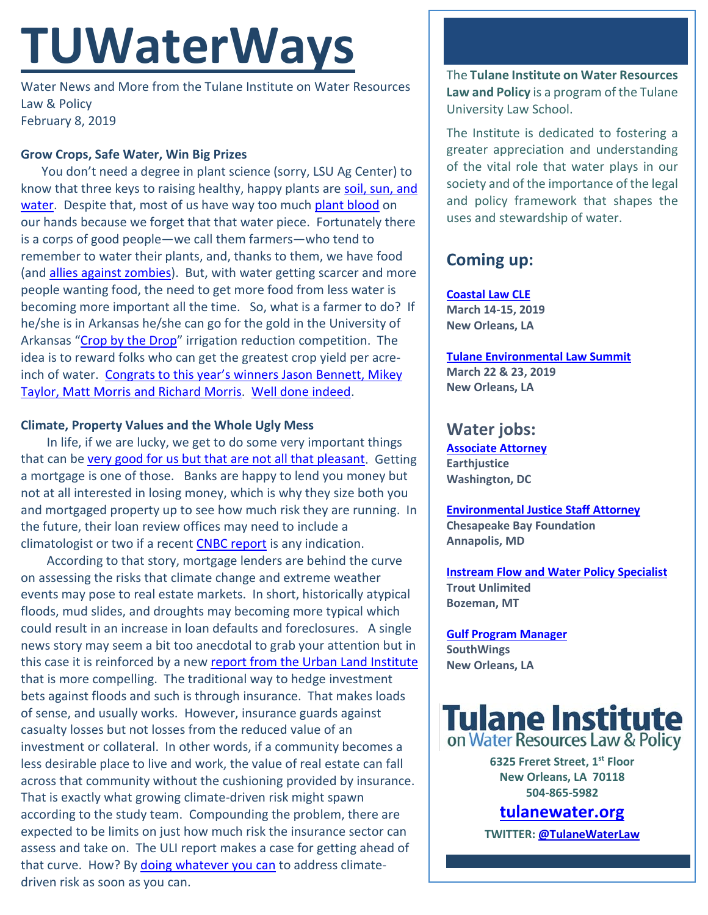# **TUWaterWays**

Water News and More from the Tulane Institute on Water Resources Law & Policy February 8, 2019

#### **Grow Crops, Safe Water, Win Big Prizes**

You don't need a degree in plant science (sorry, LSU Ag Center) to know that three keys to raising healthy, happy plants ar[e soil, sun, and](https://www.bing.com/videos/search?q=water+the+plant+songs&&view=detail&mid=2628C81688584E0435622628C81688584E043562&&FORM=VDRVRV)  [water.](https://www.bing.com/videos/search?q=water+the+plant+songs&&view=detail&mid=2628C81688584E0435622628C81688584E043562&&FORM=VDRVRV) Despite that, most of us have way too much [plant blood](https://www.nature.com/articles/s41587-019-0027-0) on our hands because we forget that that water piece. Fortunately there is a corps of good people—we call them farmers—who tend to remember to water their plants, and, thanks to them, we have food (an[d allies against zombies\)](https://www.youtube.com/watch?v=GtQr0Tlpgrg). But, with water getting scarcer and more people wanting food, the need to get more food from less water is becoming more important all the time. So, what is a farmer to do? If he/she is in Arkansas he/she can go for the gold in the University of Arkansas ["Crop by the Drop"](https://www.uaex.edu/environment-nature/water/contest/) irrigation reduction competition. The idea is to reward folks who can get the greatest crop yield per acreinch of water. [Congrats to this year's winners Jason Bennett, Mikey](https://www.agprofessional.com/article/crop-drop-irrigation-contest-winners-grow-most-least)  [Taylor, Matt Morris and Richard Morris.](https://www.agprofessional.com/article/crop-drop-irrigation-contest-winners-grow-most-least) [Well done indeed.](https://youtu.be/qMxIXHum9kA)

## **Climate, Property Values and the Whole Ugly Mess**

In life, if we are lucky, we get to do some very important things that can b[e very good for us but that are not all that pleasant.](https://www.bing.com/images/search?view=detailV2&id=211034F9240D9DD224FFE74E74A4B354805D3EC9&thid=OIP.pV02CIhhl7TTwcJJnxlz3AHaEJ&mediaurl=http%3A%2F%2Fi.imgur.com%2FDqd3C.jpg&exph=280&expw=500&q=prostate+exam+gif&selectedindex=7&qpvt=prostate+exam+gif&ajaxhist=0&vt=0&eim=1,2) Getting a mortgage is one of those. Banks are happy to lend you money but not at all interested in losing money, which is why they size both you and mortgaged property up to see how much risk they are running. In the future, their loan review offices may need to include a climatologist or two if a recent [CNBC report](https://www.cnbc.com/2019/01/16/potential-for-foreclosure-crisis-because-of-climate-change-is-real.html) is any indication.

According to that story, mortgage lenders are behind the curve on assessing the risks that climate change and extreme weather events may pose to real estate markets. In short, historically atypical floods, mud slides, and droughts may becoming more typical which could result in an increase in loan defaults and foreclosures. A single news story may seem a bit too anecdotal to grab your attention but in this case it is reinforced by a new [report from the Urban Land Institute](https://europe.uli.org/wp-content/uploads/sites/127/2019/02/ULI_Heitlman_Climate_Risk_Report_February_2019.pdf) that is more compelling. The traditional way to hedge investment bets against floods and such is through insurance. That makes loads of sense, and usually works. However, insurance guards against casualty losses but not losses from the reduced value of an investment or collateral. In other words, if a community becomes a less desirable place to live and work, the value of real estate can fall across that community without the cushioning provided by insurance. That is exactly what growing climate-driven risk might spawn according to the study team. Compounding the problem, there are expected to be limits on just how much risk the insurance sector can assess and take on. The ULI report makes a case for getting ahead of that curve. How? By [doing whatever you can](https://apps.npr.org/documents/document.html?id=5729033-Green-New-Deal-FINAL) to address climatedriven risk as soon as you can.

The **Tulane Institute on Water Resources Law and Policy** is a program of the Tulane University Law School.

The Institute is dedicated to fostering a greater appreciation and understanding of the vital role that water plays in our society and of the importance of the legal and policy framework that shapes the uses and stewardship of water.

# **Coming up:**

**[Coastal Law CLE](https://www.theseminargroup.net/seminardetl.aspx?id=19.shrNO) March 14-15, 2019 New Orleans, LA**

**[Tulane Environmental Law Summit](https://tulaneenvironmentallawsummit.com/) March 22 & 23, 2019 New Orleans, LA**

## **Water jobs:**

**[Associate Attorney](https://jobs.jobvite.com/careers/earthjustice/job/ohCk9fw6) Earthjustice Washington, DC**

**[Environmental Justice Staff Attorney](https://www.cbf.org/about-cbf/jobs-internships/jobs/environmental-justice-staff-attorney.html) Chesapeake Bay Foundation Annapolis, MD**

**[Instream Flow and Water Policy Specialist](https://www.tu.org/instream_flow_and_water_policy_specialist) Trout Unlimited Bozeman, MT**

**[Gulf Program Manager](http://www.southwings.org/news/hiring-gulf-manager/) SouthWings New Orleans, LA**



**6325 Freret Street, 1st Floor New Orleans, LA 70118 504-865-5982** 

## **tulanewater.org**

**TWITTER[: @TulaneWaterLaw](http://www.twitter.com/TulaneWaterLaw)**